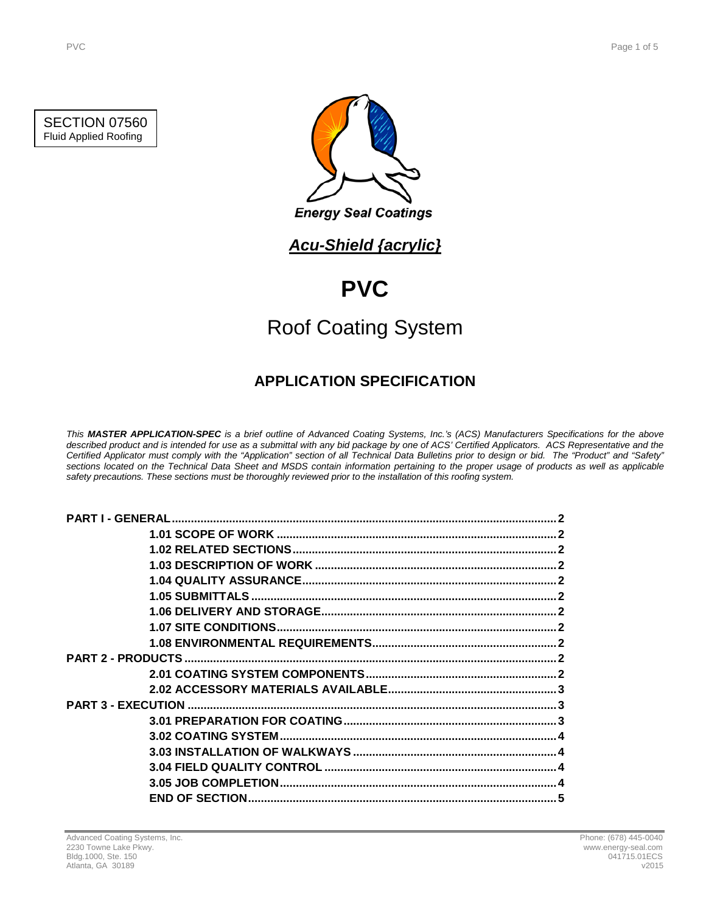### SECTION 07560 Fluid Applied Roofing



**Energy Seal Coatings** 

## *Acu-Shield {acrylic}*

# **PVC**

# Roof Coating System

## **APPLICATION SPECIFICATION**

*This MASTER APPLICATION-SPEC is a brief outline of Advanced Coating Systems, Inc.'s (ACS) Manufacturers Specifications for the above described product and is intended for use as a submittal with any bid package by one of ACS' Certified Applicators. ACS Representative and the Certified Applicator must comply with the "Application" section of all Technical Data Bulletins prior to design or bid. The "Product" and "Safety" sections located on the Technical Data Sheet and MSDS contain information pertaining to the proper usage of products as well as applicable safety precautions. These sections must be thoroughly reviewed prior to the installation of this roofing system.*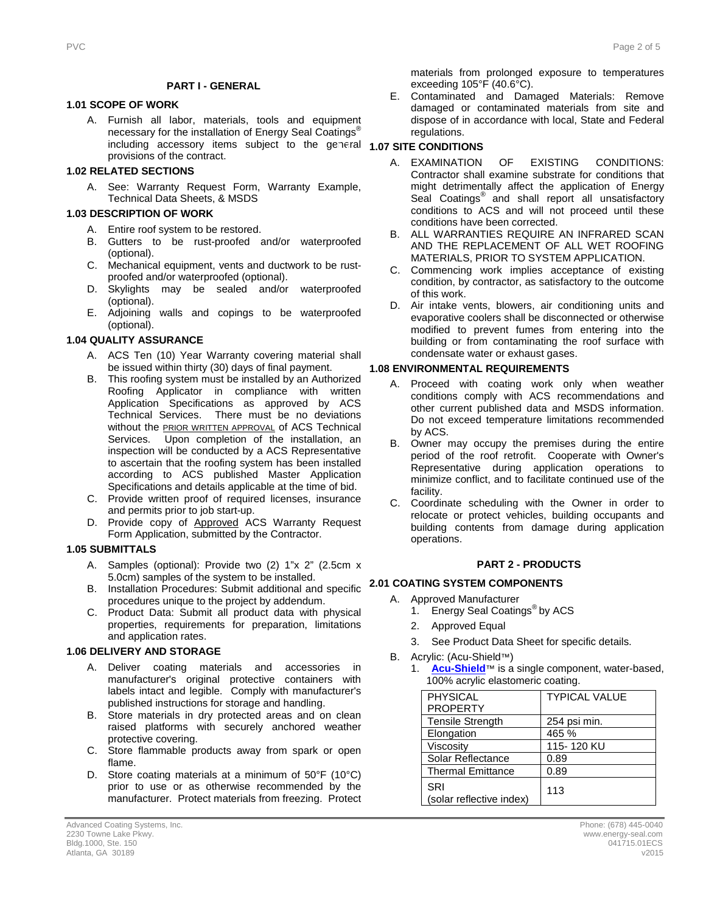#### **PART I - GENERAL**

#### **1.1 1.01 SCOPE OF WORK**

A. Furnish all labor, materials, tools and equipment necessary for the installation of Energy Seal Coatings<sup>®</sup> including accessory items subject to the general **1.07 SITE CONDITIONS** provisions of the contract.

#### **1.2 1.02 RELATED SECTIONS**

A. See: Warranty Request Form, Warranty Example, Technical Data Sheets, & MSDS

#### **1.3 1.03 DESCRIPTION OF WORK**

- A. Entire roof system to be restored.
- B. Gutters to be rust-proofed and/or waterproofed (optional).
- C. Mechanical equipment, vents and ductwork to be rustproofed and/or waterproofed (optional).
- D. Skylights may be sealed and/or waterproofed (optional).
- E. Adjoining walls and copings to be waterproofed (optional).

#### **1.4 1.04 QUALITY ASSURANCE**

- A. ACS Ten (10) Year Warranty covering material shall be issued within thirty (30) days of final payment.
- B. This roofing system must be installed by an Authorized Roofing Applicator in compliance with written Application Specifications as approved by ACS Technical Services. There must be no deviations without the **PRIOR WRITTEN APPROVAL** of ACS Technical Services. Upon completion of the installation, an inspection will be conducted by a ACS Representative to ascertain that the roofing system has been installed according to ACS published Master Application Specifications and details applicable at the time of bid.
- C. Provide written proof of required licenses, insurance and permits prior to job start-up.
- D. Provide copy of Approved ACS Warranty Request Form Application, submitted by the Contractor.

#### **1.5 1.05 SUBMITTALS**

- A. Samples (optional): Provide two (2) 1"x 2" (2.5cm x 5.0cm) samples of the system to be installed.
- B. Installation Procedures: Submit additional and specific **2.1 2.01 COATING SYSTEM COMPONENTS** procedures unique to the project by addendum.
- C. Product Data: Submit all product data with physical properties, requirements for preparation, limitations and application rates.

#### **1.6 1.06 DELIVERY AND STORAGE**

- A. Deliver coating materials and accessories in manufacturer's original protective containers with labels intact and legible. Comply with manufacturer's published instructions for storage and handling.
- B. Store materials in dry protected areas and on clean raised platforms with securely anchored weather protective covering.
- C. Store flammable products away from spark or open flame.
- D. Store coating materials at a minimum of 50°F (10°C) prior to use or as otherwise recommended by the manufacturer. Protect materials from freezing. Protect

materials from prolonged exposure to temperatures exceeding 105°F (40.6°C).

E. Contaminated and Damaged Materials: Remove damaged or contaminated materials from site and dispose of in accordance with local, State and Federal regulations.

- A. EXAMINATION OF EXISTING CONDITIONS: Contractor shall examine substrate for conditions that might detrimentally affect the application of Energy Seal Coatings<sup>®</sup> and shall report all unsatisfactory conditions to ACS and will not proceed until these conditions have been corrected.
- B. ALL WARRANTIES REQUIRE AN INFRARED SCAN AND THE REPLACEMENT OF ALL WET ROOFING MATERIALS, PRIOR TO SYSTEM APPLICATION.
- C. Commencing work implies acceptance of existing condition, by contractor, as satisfactory to the outcome of this work.
- D. Air intake vents, blowers, air conditioning units and evaporative coolers shall be disconnected or otherwise modified to prevent fumes from entering into the building or from contaminating the roof surface with condensate water or exhaust gases.

#### **1.8 1.08 ENVIRONMENTAL REQUIREMENTS**

- A. Proceed with coating work only when weather conditions comply with ACS recommendations and other current published data and MSDS information. Do not exceed temperature limitations recommended by ACS.
- B. Owner may occupy the premises during the entire period of the roof retrofit. Cooperate with Owner's Representative during application operations to minimize conflict, and to facilitate continued use of the facility.
- C. Coordinate scheduling with the Owner in order to relocate or protect vehicles, building occupants and building contents from damage during application operations.

#### **2 PART 2 - PRODUCTS**

- A. Approved Manufacturer
	- 1. Energy Seal Coatings<sup>®</sup> by ACS
	- 2. Approved Equal
	- 3. See Product Data Sheet for specific details.
- B. Acrylic: (Acu-Shield™)
	- 1. **[Acu-Shield](http://www.energy-seal.com/UserDyn/ACS/pdfs/acu-shield.pdf)**™ is a single component, water-based, 100% acrylic elastomeric coating.

| <b>PHYSICAL</b>                 | <b>TYPICAL VALUE</b> |
|---------------------------------|----------------------|
| <b>PROPERTY</b>                 |                      |
| <b>Tensile Strength</b>         | 254 psi min.         |
| Elongation                      | 465 %                |
| Viscosity                       | 115-120 KU           |
| Solar Reflectance               | 0.89                 |
| <b>Thermal Emittance</b>        | 0.89                 |
| SRI<br>(solar reflective index) | 113                  |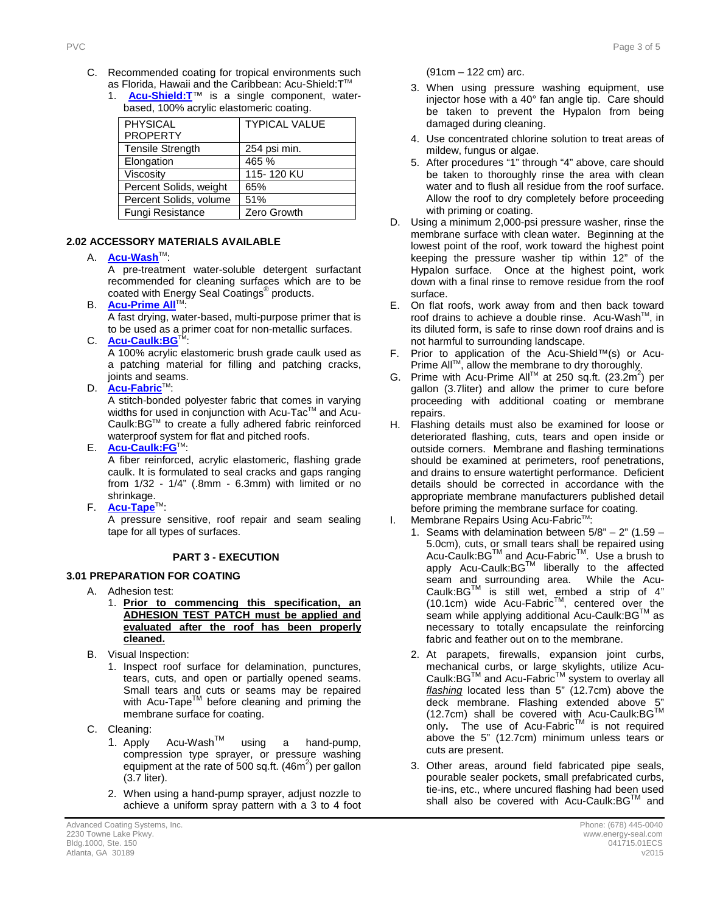- C. Recommended coating for tropical environments such as Florida, Hawaii and the Caribbean: Acu-Shield: T™
	- 1. **[Acu-Shield:T](http://www.energy-seal.com/UserDyn/ACS/pdfs/acu-shield-t.pdf)**™ is a single component, waterbased, 100% acrylic elastomeric coating.

| <b>PHYSICAL</b>         | <b>TYPICAL VALUE</b> |
|-------------------------|----------------------|
| <b>PROPERTY</b>         |                      |
| <b>Tensile Strength</b> | 254 psi min.         |
| Elongation              | 465 %                |
| Viscosity               | 115-120 KU           |
| Percent Solids, weight  | 65%                  |
| Percent Solids, volume  | 51%                  |
| Fungi Resistance        | Zero Growth          |

### **2.2 2.02 ACCESSORY MATERIALS AVAILABLE**

#### A. **[Acu-Wash](http://www.energy-seal.com/UserDyn/ACS/pdfs/acu-wash.pdf)™:**

A pre-treatment water-soluble detergent surfactant recommended for cleaning surfaces which are to be coated with Energy Seal Coatings® products.

**B. [Acu-Prime](http://www.energy-seal.com/UserDyn/ACS/pdfs/acu-prime%20all.pdf) All**™:

A fast drying, water-based, multi-purpose primer that is to be used as a primer coat for non-metallic surfaces.

C. **[Acu-Caulk:BG](http://www.energy-seal.com/UserDyn/ACS/pdfs/acu-caulk_bg.pdf)** 

A 100% acrylic elastomeric brush grade caulk used as a patching material for filling and patching cracks, joints and seams.

D. **[Acu-Fabric](http://www.energy-seal.com/UserDyn/ACS/pdfs/acu-fabric-sb.pdf)™**:

A stitch-bonded polyester fabric that comes in varying widths for used in conjunction with Acu-Tac™ and Acu-Caulk:BGTM to create a fully adhered fabric reinforced waterproof system for flat and pitched roofs.

E. **[Acu-Caulk:FG](http://www.energy-seal.com/UserDyn/ACS/pdfs/acu-caulk_fg.pdf)**TM:

A fiber reinforced, acrylic elastomeric, flashing grade caulk. It is formulated to seal cracks and gaps ranging from 1/32 - 1/4" (.8mm - 6.3mm) with limited or no shrinkage.

F. **[Acu-Tape](http://www.energy-seal.com/UserDyn/ACS/pdfs/acu-tape.pdf)**TM:

A pressure sensitive, roof repair and seam sealing tape for all types of surfaces.

#### **3 PART 3 - EXECUTION**

### **3.1 3.01 PREPARATION FOR COATING**

- A. Adhesion test:
	- 1. **Prior to commencing this specification, an ADHESION TEST PATCH must be applied and evaluated after the roof has been properly cleaned.**
- B. Visual Inspection:
	- 1. Inspect roof surface for delamination, punctures, tears, cuts, and open or partially opened seams. Small tears and cuts or seams may be repaired with Acu-Tape<sup>TM</sup> before cleaning and priming the membrane surface for coating.
- C. Cleaning:
	- 1. Apply Acu-Wash<sup>™</sup> using a hand-pump, compression type sprayer, or pressure washing equipment at the rate of 500 sq.ft.  $(46m^2)$  per gallon (3.7 liter).
	- 2. When using a hand-pump sprayer, adjust nozzle to achieve a uniform spray pattern with a 3 to 4 foot

(91cm – 122 cm) arc.

- 3. When using pressure washing equipment, use injector hose with a 40° fan angle tip. Care should be taken to prevent the Hypalon from being damaged during cleaning.
- 4. Use concentrated chlorine solution to treat areas of mildew, fungus or algae.
- 5. After procedures "1" through "4" above, care should be taken to thoroughly rinse the area with clean water and to flush all residue from the roof surface. Allow the roof to dry completely before proceeding with priming or coating.
- D. Using a minimum 2,000-psi pressure washer, rinse the membrane surface with clean water. Beginning at the lowest point of the roof, work toward the highest point keeping the pressure washer tip within 12" of the Hypalon surface. Once at the highest point, work down with a final rinse to remove residue from the roof surface.
- E. On flat roofs, work away from and then back toward roof drains to achieve a double rinse. Acu-Wash™, in its diluted form, is safe to rinse down roof drains and is not harmful to surrounding landscape.
- F. Prior to application of the Acu-Shield™(s) or Acu-Prime All™, allow the membrane to dry thoroughly.
- G. Prime with Acu-Prime All™ at 250 sq.ft. (23.2m<sup>2</sup>) per gallon (3.7liter) and allow the primer to cure before proceeding with additional coating or membrane repairs.
- H. Flashing details must also be examined for loose or deteriorated flashing, cuts, tears and open inside or outside corners. Membrane and flashing terminations should be examined at perimeters, roof penetrations, and drains to ensure watertight performance. Deficient details should be corrected in accordance with the appropriate membrane manufacturers published detail before priming the membrane surface for coating.
- I. Membrane Repairs Using Acu-Fabric<sup>™</sup>:
	- 1. Seams with delamination between  $5/8" 2"$  (1.59 5.0cm), cuts, or small tears shall be repaired using Acu-Caulk:BG™ and Acu-Fabric<sup>™</sup>. Use a brush to apply Acu-Caulk:BGTM liberally to the affected seam and surrounding area. While the Acu-Caulk:BG $^{TM}$  is still wet, embed a strip of 4" (10.1cm) wide Acu-Fabric<sup>TM</sup>, centered over the seam while applying additional Acu-Caulk: BG™ as necessary to totally encapsulate the reinforcing fabric and feather out on to the membrane.
	- 2. At parapets, firewalls, expansion joint curbs, mechanical curbs, or large skylights, utilize Acu-Caulk:BG™ and Acu-Fabric™ system to overlay all *flashing* located less than 5" (12.7cm) above the deck membrane. Flashing extended above 5 (12.7cm) shall be covered with Acu-Caulk:BG™ only. The use of Acu-Fabric<sup>TM</sup> is not required above the 5" (12.7cm) minimum unless tears or cuts are present.
	- 3. Other areas, around field fabricated pipe seals, pourable sealer pockets, small prefabricated curbs, tie-ins, etc., where uncured flashing had been used shall also be covered with Acu-Caulk:BG™ and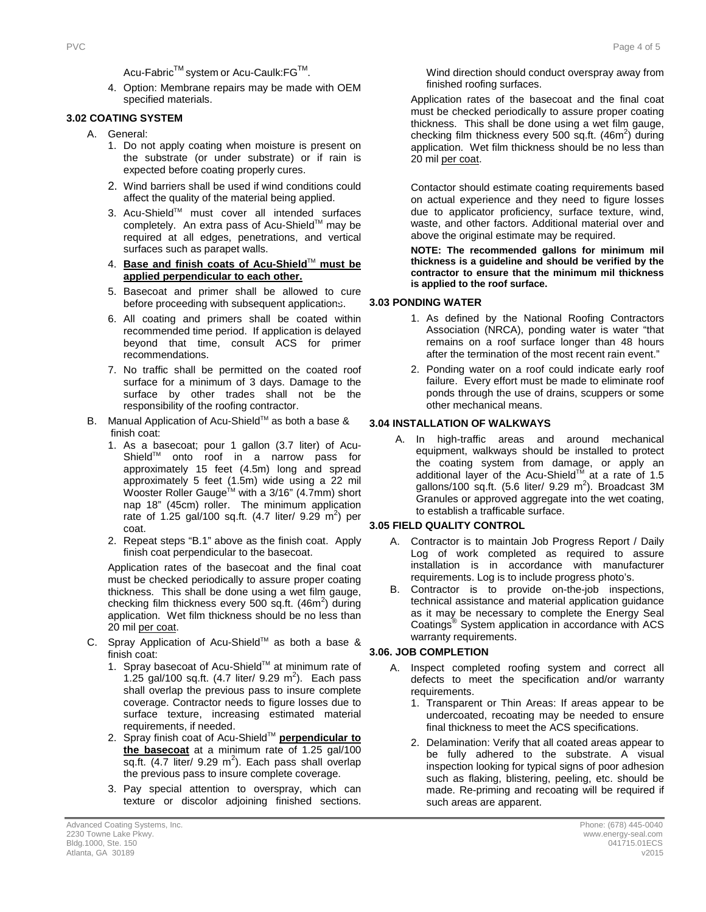Acu-Fabric<sup>™</sup> system or Acu-Caulk:FG<sup>™</sup>.

4. Option: Membrane repairs may be made with OEM specified materials.

#### **3.2 3.02 COATING SYSTEM**

- A. General:
	- 1. Do not apply coating when moisture is present on the substrate (or under substrate) or if rain is expected before coating properly cures.
	- 2. Wind barriers shall be used if wind conditions could affect the quality of the material being applied.
	- 3. Acu-Shield™ must cover all intended surfaces completely. An extra pass of Acu-Shield™ may be required at all edges, penetrations, and vertical surfaces such as parapet walls.
	- 4. **Base and finish coats of Acu-Shield**TM **must be applied perpendicular to each other.**
	- 5. Basecoat and primer shall be allowed to cure before proceeding with subsequent applications.
	- 6. All coating and primers shall be coated within recommended time period. If application is delayed beyond that time, consult ACS for primer recommendations.
	- 7. No traffic shall be permitted on the coated roof surface for a minimum of 3 days. Damage to the surface by other trades shall not be the responsibility of the roofing contractor.
- B. Manual Application of Acu-Shield™ as both a base & finish coat:
	- 1. As a basecoat; pour 1 gallon (3.7 liter) of Acu-Shield<sup>™</sup> onto roof in a narrow pass for approximately 15 feet (4.5m) long and spread approximately 5 feet (1.5m) wide using a 22 mil Wooster Roller Gauge<sup>™</sup> with a 3/16" (4.7mm) short nap 18" (45cm) roller. The minimum application rate of 1.25 gal/100 sq.ft.  $(4.7 \text{ liter/ } 9.29 \text{ m}^2)$  per coat.
	- 2. Repeat steps "B.1" above as the finish coat. Apply finish coat perpendicular to the basecoat.

Application rates of the basecoat and the final coat must be checked periodically to assure proper coating thickness. This shall be done using a wet film gauge, checking film thickness every 500 sq.ft.  $(46m^2)$  during application. Wet film thickness should be no less than 20 mil per coat.

- C. Spray Application of Acu-Shield™ as both a base & finish coat:
	- 1. Spray basecoat of Acu-Shield™ at minimum rate of 1.25 gal/100 sq.ft.  $(4.7 \text{ liter/ } 9.29 \text{ m}^2)$ . Each pass shall overlap the previous pass to insure complete coverage. Contractor needs to figure losses due to surface texture, increasing estimated material requirements, if needed.
	- 2. Spray finish coat of Acu-Shield™ **perpendicular to the basecoat** at a minimum rate of 1.25 gal/100 sq.ft.  $(4.7$  liter/ 9.29 m<sup>2</sup>). Each pass shall overlap the previous pass to insure complete coverage.
	- 3. Pay special attention to overspray, which can texture or discolor adjoining finished sections.

finished roofing surfaces.

thickness. This shall be done using a wet film gauge, checking film thickness every 500 sq.ft.  $(46m^2)$  during application. Wet film thickness should be no less than 20 mil per coat.

Wind direction should conduct overspray away from

Contactor should estimate coating requirements based on actual experience and they need to figure losses due to applicator proficiency, surface texture, wind, waste, and other factors. Additional material over and above the original estimate may be required.

**NOTE: The recommended gallons for minimum mil thickness is a guideline and should be verified by the contractor to ensure that the minimum mil thickness is applied to the roof surface.** 

#### **3.3 3.03 PONDING WATER**

- 1. As defined by the National Roofing Contractors Association (NRCA), ponding water is water "that remains on a roof surface longer than 48 hours after the termination of the most recent rain event."
- 2. Ponding water on a roof could indicate early roof failure. Every effort must be made to eliminate roof ponds through the use of drains, scuppers or some other mechanical means.

#### **3.04 INSTALLATION OF WALKWAYS**

A. In high-traffic areas and around mechanical equipment, walkways should be installed to protect the coating system from damage, or apply an additional layer of the Acu-Shield<sup>TM</sup> at a rate of 1.5 gallons/100 sq.ft.  $(5.6$  liter/ 9.29 m<sup>2</sup>). Broadcast 3M Granules or approved aggregate into the wet coating, to establish a trafficable surface.

#### **3.4 3.05 FIELD QUALITY CONTROL**

- A. Contractor is to maintain Job Progress Report / Daily Log of work completed as required to assure installation is in accordance with manufacturer requirements. Log is to include progress photo's.
- B. Contractor is to provide on-the-job inspections, technical assistance and material application guidance as it may be necessary to complete the Energy Seal Coatings® System application in accordance with ACS warranty requirements.

#### **3.5 3.06. JOB COMPLETION**

- A. Inspect completed roofing system and correct all defects to meet the specification and/or warranty requirements.
	- 1. Transparent or Thin Areas: If areas appear to be undercoated, recoating may be needed to ensure final thickness to meet the ACS specifications.
	- 2. Delamination: Verify that all coated areas appear to be fully adhered to the substrate. A visual inspection looking for typical signs of poor adhesion such as flaking, blistering, peeling, etc. should be made. Re-priming and recoating will be required if such areas are apparent.